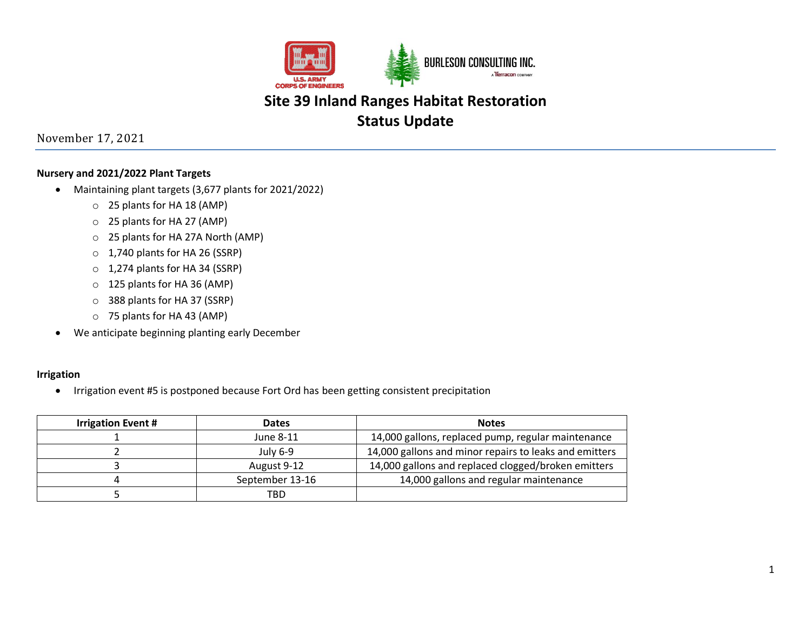

November 17, 2021

### **Nursery and 2021/2022 Plant Targets**

- Maintaining plant targets (3,677 plants for 2021/2022)
	- o 25 plants for HA 18 (AMP)
	- o 25 plants for HA 27 (AMP)
	- o 25 plants for HA 27A North (AMP)
	- o 1,740 plants for HA 26 (SSRP)
	- o 1,274 plants for HA 34 (SSRP)
	- o 125 plants for HA 36 (AMP)
	- o 388 plants for HA 37 (SSRP)
	- o 75 plants for HA 43 (AMP)
- We anticipate beginning planting early December

#### **Irrigation**

• Irrigation event #5 is postponed because Fort Ord has been getting consistent precipitation

| <b>Irrigation Event #</b> | <b>Dates</b>    | <b>Notes</b>                                           |
|---------------------------|-----------------|--------------------------------------------------------|
|                           | June 8-11       | 14,000 gallons, replaced pump, regular maintenance     |
|                           | July 6-9        | 14,000 gallons and minor repairs to leaks and emitters |
|                           | August 9-12     | 14,000 gallons and replaced clogged/broken emitters    |
|                           | September 13-16 | 14,000 gallons and regular maintenance                 |
|                           | TBD             |                                                        |